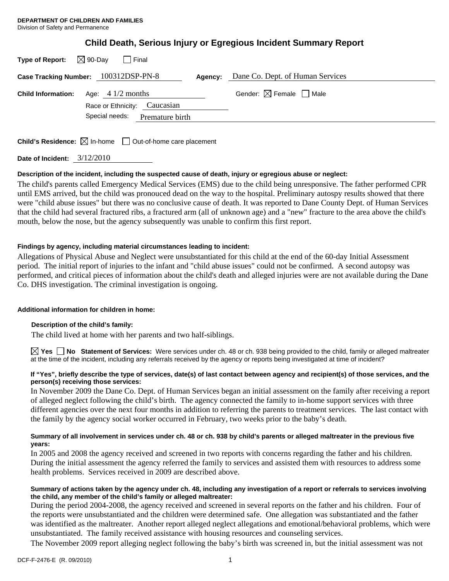| <b>Child Death, Serious Injury or Egregious Incident Summary Report</b> |  |  |  |  |  |
|-------------------------------------------------------------------------|--|--|--|--|--|
|-------------------------------------------------------------------------|--|--|--|--|--|

|                           | Type of Report: $\boxtimes$ 90-Day $\Box$ Final             |         |                                        |
|---------------------------|-------------------------------------------------------------|---------|----------------------------------------|
|                           | Case Tracking Number: 100312DSP-PN-8                        | Agency: | Dane Co. Dept. of Human Services       |
| <b>Child Information:</b> | Age: $4 \frac{1}{2}$ months<br>Race or Ethnicity: Caucasian |         | Gender: $\boxtimes$ Female $\Box$ Male |
|                           | Special needs: Premature birth                              |         |                                        |
|                           |                                                             |         |                                        |

**Child's Residence:**  $\boxtimes$  In-home  $\Box$  Out-of-home care placement

**Date of Incident:** 3/12/2010

### **Description of the incident, including the suspected cause of death, injury or egregious abuse or neglect:**

The child's parents called Emergency Medical Services (EMS) due to the child being unresponsive. The father performed CPR until EMS arrived, but the child was pronouced dead on the way to the hospital. Preliminary autospy results showed that there were "child abuse issues" but there was no conclusive cause of death. It was reported to Dane County Dept. of Human Services that the child had several fractured ribs, a fractured arm (all of unknown age) and a "new" fracture to the area above the child's mouth, below the nose, but the agency subsequently was unable to confirm this first report.

## **Findings by agency, including material circumstances leading to incident:**

Allegations of Physical Abuse and Neglect were unsubstantiated for this child at the end of the 60-day Initial Assessment period. The initial report of injuries to the infant and "child abuse issues" could not be confirmed. A second autopsy was performed, and critical pieces of information about the child's death and alleged injuries were are not available during the Dane Co. DHS investigation. The criminal investigation is ongoing.

### **Additional information for children in home:**

### **Description of the child's family:**

The child lived at home with her parents and two half-siblings.

**Yes No Statement of Services:** Were services under ch. 48 or ch. 938 being provided to the child, family or alleged maltreater at the time of the incident, including any referrals received by the agency or reports being investigated at time of incident?

#### **If "Yes", briefly describe the type of services, date(s) of last contact between agency and recipient(s) of those services, and the person(s) receiving those services:**

In November 2009 the Dane Co. Dept. of Human Services began an initial assessment on the family after receiving a report of alleged neglect following the child's birth. The agency connected the family to in-home support services with three different agencies over the next four months in addition to referring the parents to treatment services. The last contact with the family by the agency social worker occurred in February, two weeks prior to the baby's death.

### **Summary of all involvement in services under ch. 48 or ch. 938 by child's parents or alleged maltreater in the previous five years:**

In 2005 and 2008 the agency received and screened in two reports with concerns regarding the father and his children. During the initial assessment the agency referred the family to services and assisted them with resources to address some health problems. Services received in 2009 are described above.

### **Summary of actions taken by the agency under ch. 48, including any investigation of a report or referrals to services involving the child, any member of the child's family or alleged maltreater:**

During the period 2004-2008, the agency received and screened in several reports on the father and his children. Four of the reports were unsubstantiated and the children were determined safe. One allegation was substantiated and the father was identified as the maltreater. Another report alleged neglect allegations and emotional/behavioral problems, which were unsubstantiated. The family received assistance with housing resources and counseling services.

The November 2009 report alleging neglect following the baby's birth was screened in, but the initial assessment was not